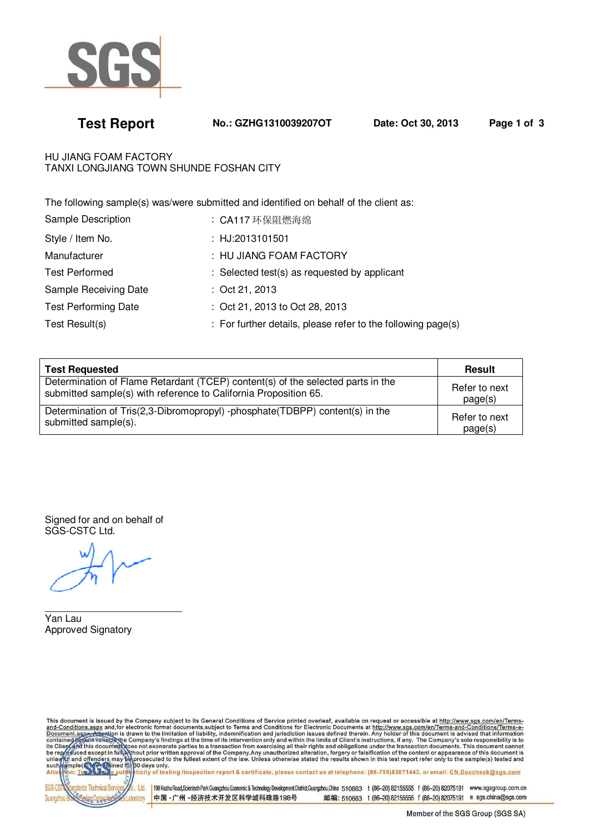

**Test Report No.: GZHG1310039207OT Date: Oct 30, 2013 Page 1 of 3**

HU JIANG FOAM FACTORY TANXI LONGJIANG TOWN SHUNDE FOSHAN CITY

The following sample(s) was/were submitted and identified on behalf of the client as:

| Sample Description          | : CA117 环保阻燃海绵                                               |
|-----------------------------|--------------------------------------------------------------|
| Style / Item No.            | : HJ:2013101501                                              |
| Manufacturer                | : HU JIANG FOAM FACTORY                                      |
| <b>Test Performed</b>       | : Selected test(s) as requested by applicant                 |
| Sample Receiving Date       | $:$ Oct 21, 2013                                             |
| <b>Test Performing Date</b> | : Oct 21, 2013 to Oct 28, 2013                               |
| Test Result(s)              | : For further details, please refer to the following page(s) |

| <b>Test Requested</b>                                                           | <b>Result</b> |
|---------------------------------------------------------------------------------|---------------|
| Determination of Flame Retardant (TCEP) content(s) of the selected parts in the | Refer to next |
| submitted sample(s) with reference to California Proposition 65.                | page(s)       |
| Determination of Tris(2,3-Dibromopropyl) -phosphate(TDBPP) content(s) in the    | Refer to next |
| submitted sample(s).                                                            | page(s)       |

Signed for and on behalf of SGS-CSTC Ltd.

 $\overline{\phantom{a}}$  , and the set of the set of the set of the set of the set of the set of the set of the set of the set of the set of the set of the set of the set of the set of the set of the set of the set of the set of the s

Yan Lau Approved Signatory

This document is issued by the Company subject to its General Conditions of Service printed overleaf, available on request or accessible at http://www.sgs.com/en/Terms-<br>and-Conditions.aspy and, for electronic format docum

Ltd. Guanoz aboraton

198 Kezhu Road, Scientech Park Guangzhou Economic & Technology Development District, Guangzhou, China 510663 t (86-20) 82155555 f (86-20) 82075191 www.sgsgroup.com.cn 中国·广州·经济技术开发区科学城科珠路198号 邮编: 510663 t (86-20) 82155555 f (86-20) 82075191 e sgs.china@sgs.com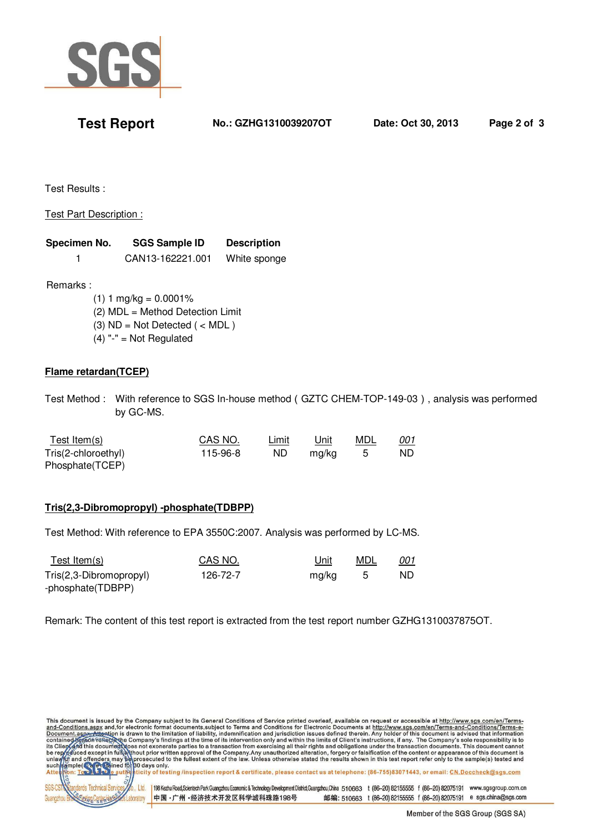

**Test Report No.: GZHG1310039207OT Date: Oct 30, 2013 Page 2 of 3**

Test Results :

# Test Part Description :

| Specimen No. | <b>SGS Sample ID</b> | <b>Description</b> |
|--------------|----------------------|--------------------|
|              | CAN13-162221.001     | White sponge       |

Remarks :

 $(1)$  1 mg/kg = 0.0001% (2) MDL = Method Detection Limit (3)  $ND = Not Detection$  ( < MDL )  $(4)$  "-" = Not Regulated

# **Flame retardan(TCEP)**

Test Method : With reference to SGS In-house method(GZTC CHEM-TOP-149-03), analysis was performed by GC-MS.

| <u>Test Item(s)</u> | CAS NO.  | Limit | Unit  | MDL | <u>001</u> |
|---------------------|----------|-------|-------|-----|------------|
| Tris(2-chloroethyl) | 115-96-8 | ND.   | ma/ka |     | ND.        |
| Phosphate(TCEP)     |          |       |       |     |            |

# **Tris(2,3-Dibromopropyl) -phosphate(TDBPP)**

Test Method: With reference to EPA 3550C:2007. Analysis was performed by LC-MS.

| Test Item $(s)$         | CAS NO.  | <u>Unit</u> | MDL | <u>001</u> |
|-------------------------|----------|-------------|-----|------------|
| Tris(2,3-Dibromopropyl) | 126-72-7 | mg/kg       |     | ND.        |
| -phosphate(TDBPP)       |          |             |     |            |

Remark: The content of this test report is extracted from the test report number GZHG1310037875OT.

This document is issued by the Company subject to its General Conditions of Service printed overleaf, available on request or accessible at http://www.sgs.com/en/Terms-<br>and-Conditions.aspy and,for electronic format docume  $1<sup>td</sup>$ 198 Kezhu Road, Scientech Park Guangzhou Economic & Technology Development District, Guangzhou, China 510663 t (86-20) 82155555 f (86-20) 82075191 www.sgsgroup.com.cn 中国·广州·经济技术开发区科学城科珠路198号 邮编: 510663 t (86-20) 82155555 f (86-20) 82075191 e sgs.china@sgs.com aboratory